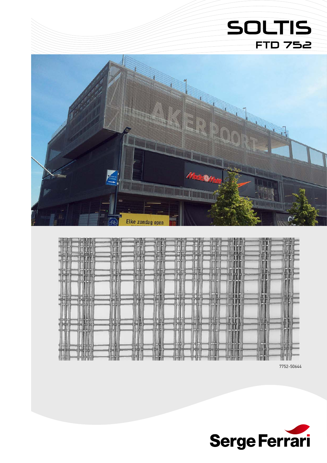# **SOLTIS FTD 752**





7752-50644